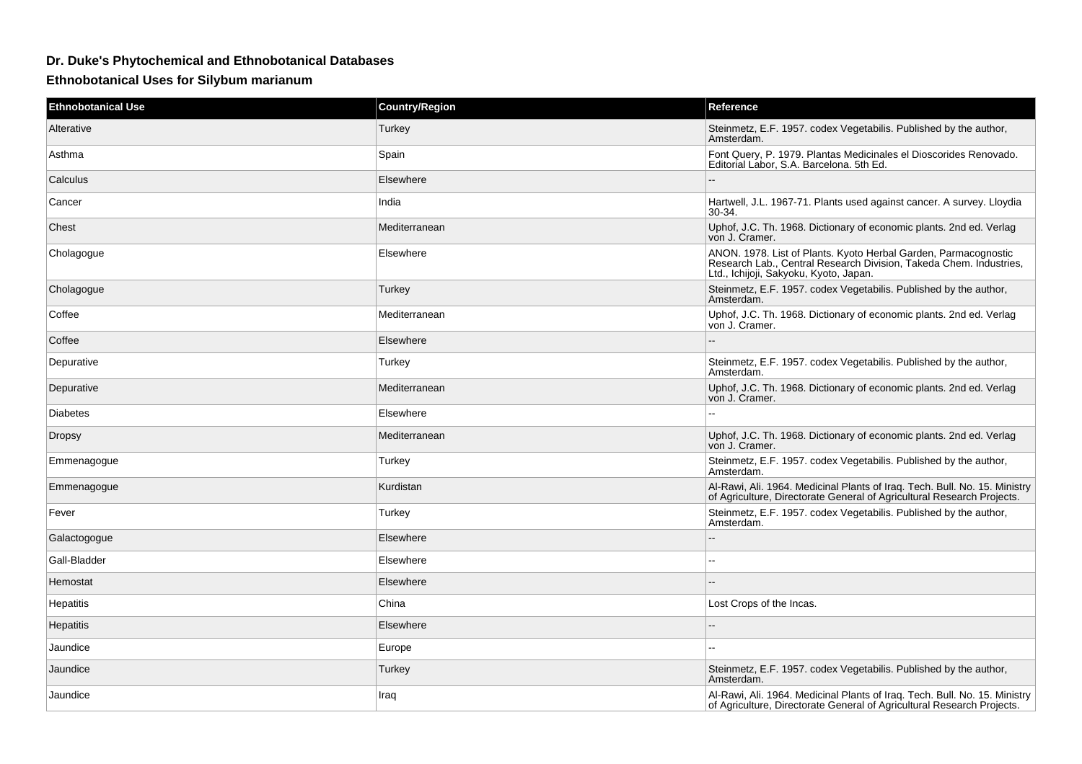## **Dr. Duke's Phytochemical and Ethnobotanical Databases**

**Ethnobotanical Uses for Silybum marianum**

| <b>Ethnobotanical Use</b> | <b>Country/Region</b> | Reference                                                                                                                                                                       |
|---------------------------|-----------------------|---------------------------------------------------------------------------------------------------------------------------------------------------------------------------------|
| Alterative                | Turkey                | Steinmetz, E.F. 1957. codex Vegetabilis. Published by the author,<br>Amsterdam.                                                                                                 |
| Asthma                    | Spain                 | Font Query, P. 1979. Plantas Medicinales el Dioscorides Renovado.<br>Editorial Labor, S.A. Barcelona. 5th Ed.                                                                   |
| Calculus                  | Elsewhere             |                                                                                                                                                                                 |
| Cancer                    | India                 | Hartwell, J.L. 1967-71. Plants used against cancer. A survey. Lloydia<br>$30-34.$                                                                                               |
| Chest                     | Mediterranean         | Uphof, J.C. Th. 1968. Dictionary of economic plants. 2nd ed. Verlag<br>von J. Cramer.                                                                                           |
| Cholagogue                | Elsewhere             | ANON. 1978. List of Plants. Kyoto Herbal Garden, Parmacognostic<br>Research Lab., Central Research Division, Takeda Chem. Industries,<br>Ltd., Ichijoji, Sakyoku, Kyoto, Japan. |
| Cholagogue                | Turkey                | Steinmetz, E.F. 1957. codex Vegetabilis. Published by the author,<br>Amsterdam.                                                                                                 |
| Coffee                    | Mediterranean         | Uphof, J.C. Th. 1968. Dictionary of economic plants. 2nd ed. Verlag<br>von J. Cramer.                                                                                           |
| Coffee                    | Elsewhere             |                                                                                                                                                                                 |
| Depurative                | Turkey                | Steinmetz, E.F. 1957. codex Vegetabilis. Published by the author,<br>Amsterdam.                                                                                                 |
| Depurative                | Mediterranean         | Uphof, J.C. Th. 1968. Dictionary of economic plants. 2nd ed. Verlag<br>von J. Cramer.                                                                                           |
| <b>Diabetes</b>           | Elsewhere             | $\sim$                                                                                                                                                                          |
| <b>Dropsy</b>             | Mediterranean         | Uphof, J.C. Th. 1968. Dictionary of economic plants. 2nd ed. Verlag<br>von J. Cramer.                                                                                           |
| Emmenagogue               | Turkey                | Steinmetz, E.F. 1957. codex Vegetabilis. Published by the author,<br>Amsterdam.                                                                                                 |
| Emmenagogue               | Kurdistan             | Al-Rawi, Ali. 1964. Medicinal Plants of Iraq. Tech. Bull. No. 15. Ministry<br>of Agriculture, Directorate General of Agricultural Research Projects.                            |
| Fever                     | Turkey                | Steinmetz, E.F. 1957. codex Vegetabilis. Published by the author,<br>Amsterdam.                                                                                                 |
| Galactogogue              | Elsewhere             |                                                                                                                                                                                 |
| Gall-Bladder              | Elsewhere             | $\sim$                                                                                                                                                                          |
| Hemostat                  | Elsewhere             |                                                                                                                                                                                 |
| Hepatitis                 | China                 | Lost Crops of the Incas.                                                                                                                                                        |
| <b>Hepatitis</b>          | Elsewhere             | $\sim$                                                                                                                                                                          |
| Jaundice                  | Europe                |                                                                                                                                                                                 |
| Jaundice                  | Turkey                | Steinmetz, E.F. 1957. codex Vegetabilis. Published by the author,<br>Amsterdam.                                                                                                 |
| Jaundice                  | Iraq                  | Al-Rawi, Ali. 1964. Medicinal Plants of Iraq. Tech. Bull. No. 15. Ministry<br>of Agriculture, Directorate General of Agricultural Research Projects.                            |